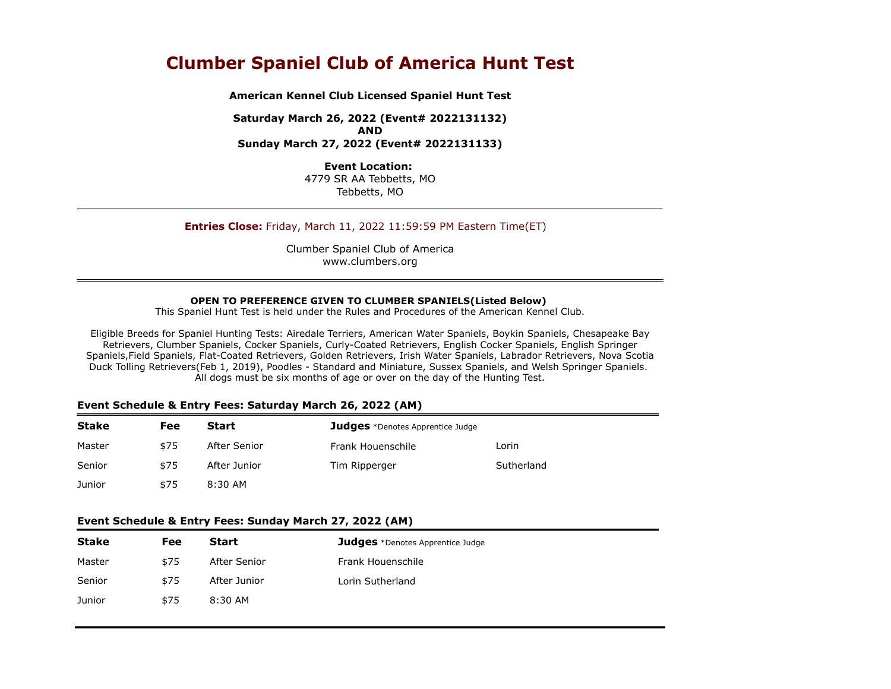# **Clumber Spaniel Club of America Hunt Test**

**American Kennel Club Licensed Spaniel Hunt Test**

**Saturday March 26, 2022 (Event# 2022131132) AND Sunday March 27, 2022 (Event# 2022131133)**

> **Event Location:** 4779 SR AA Tebbetts, MO Tebbetts, MO

# **Entries Close:** Friday, March 11, 2022 11:59:59 PM Eastern Time(ET)

Clumber Spaniel Club of America www.clumbers.org

#### **OPEN TO PREFERENCE GIVEN TO CLUMBER SPANIELS(Listed Below)**

This Spaniel Hunt Test is held under the Rules and Procedures of the American Kennel Club.

Eligible Breeds for Spaniel Hunting Tests: Airedale Terriers, American Water Spaniels, Boykin Spaniels, Chesapeake Bay Retrievers, Clumber Spaniels, Cocker Spaniels, Curly-Coated Retrievers, English Cocker Spaniels, English Springer Spaniels,Field Spaniels, Flat-Coated Retrievers, Golden Retrievers, Irish Water Spaniels, Labrador Retrievers, Nova Scotia Duck Tolling Retrievers(Feb 1, 2019), Poodles - Standard and Miniature, Sussex Spaniels, and Welsh Springer Spaniels. All dogs must be six months of age or over on the day of the Hunting Test.

#### **Event Schedule & Entry Fees: Saturday March 26, 2022 (AM)**

| <b>Stake</b> | Fee  | Start        | <b>Judges</b> *Denotes Apprentice Judge |            |
|--------------|------|--------------|-----------------------------------------|------------|
| Master       | \$75 | After Senior | Frank Houenschile                       | Lorin      |
| Senior       | \$75 | After Junior | Tim Ripperger                           | Sutherland |
| Junior       | \$75 | 8:30 AM      |                                         |            |

#### **Event Schedule & Entry Fees: Sunday March 27, 2022 (AM)**

| <b>Stake</b> | Fee  | Start        | <b>Judges</b> *Denotes Apprentice Judge |
|--------------|------|--------------|-----------------------------------------|
| Master       | \$75 | After Senior | Frank Houenschile                       |
| Senior       | \$75 | After Junior | Lorin Sutherland                        |
| Junior       | \$75 | $8:30$ AM    |                                         |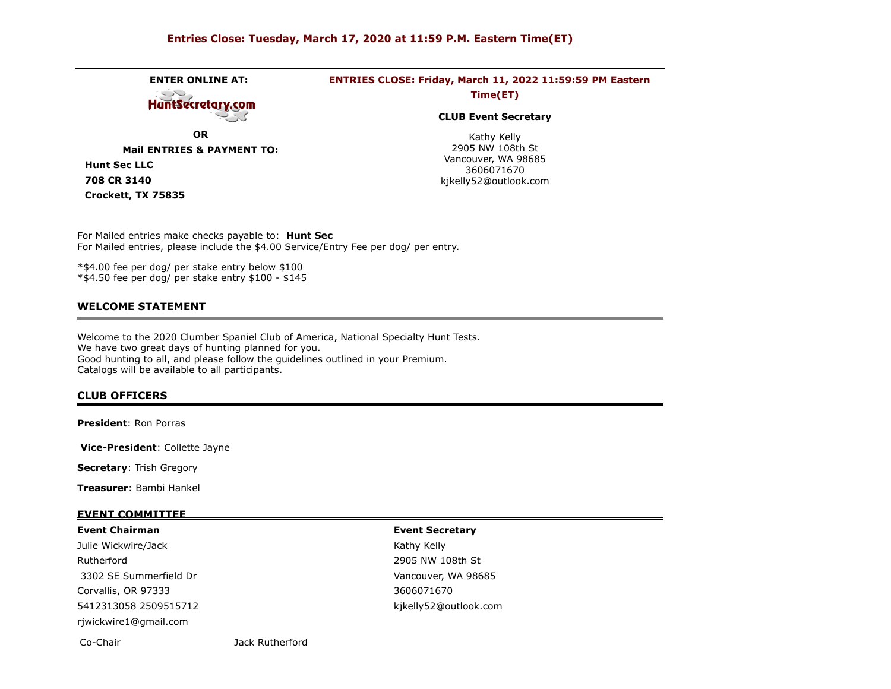# **Entries Close: Tuesday, March 17, 2020 at 11:59 P.M. Eastern Time(ET)**

**ENTER ONLINE AT: ENTRIES CLOSE: Friday, March 11, 2022 11:59:59 PM Eastern** ت **Time(ET) HuntSecretary.com CLUB Event Secretary OR** Kathy Kelly 2905 NW 108th St **Mail ENTRIES & PAYMENT TO:** Vancouver, WA 98685 **Hunt Sec LLC** 3606071670 **708 CR 3140** kjkelly52@outlook.com **Crockett, TX 75835**

For Mailed entries make checks payable to: **Hunt Sec**  For Mailed entries, please include the \$4.00 Service/Entry Fee per dog/ per entry.

\*\$4.00 fee per dog/ per stake entry below \$100 \*\$4.50 fee per dog/ per stake entry \$100 - \$145

#### **WELCOME STATEMENT**

Welcome to the 2020 Clumber Spaniel Club of America, National Specialty Hunt Tests. We have two great days of hunting planned for you. Good hunting to all, and please follow the guidelines outlined in your Premium. Catalogs will be available to all participants.

#### **CLUB OFFICERS**

**President**: Ron Porras

**Vice-President**: Collette Jayne

**Secretary**: Trish Gregory

**Treasurer**: Bambi Hankel

#### **EVENT COMMITTEE**

#### **Event Chairman**

Julie Wickwire/Jack Rutherford 3302 SE Summerfield Dr Corvallis, OR 97333 5412313058 2509515712 rjwickwire1@gmail.com

#### **Event Secretary**

Kathy Kelly 2905 NW 108th St Vancouver, WA 98685 3606071670 kjkelly52@outlook.com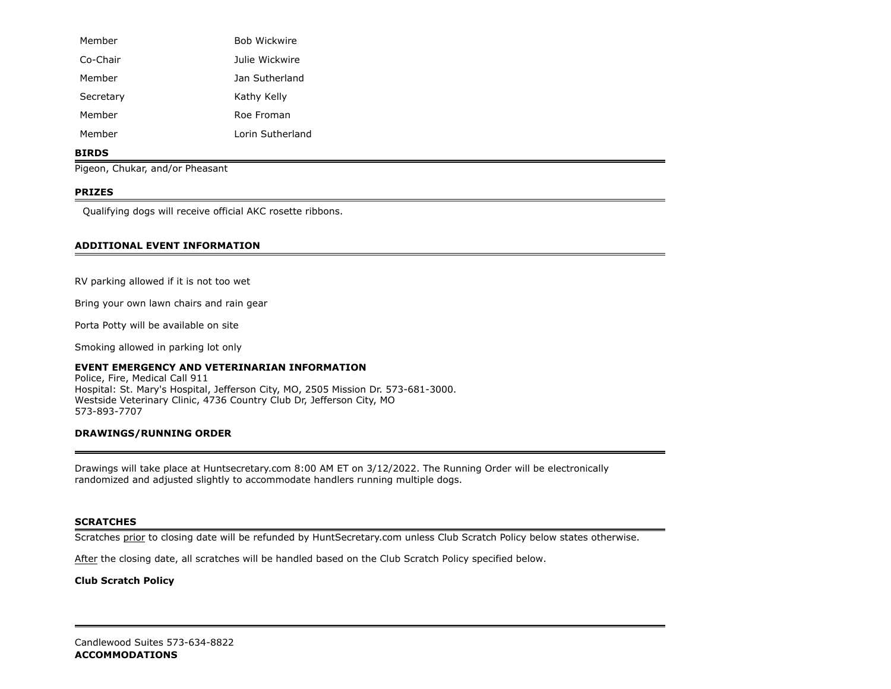| Member    | <b>Bob Wickwire</b> |
|-----------|---------------------|
| Co-Chair  | Julie Wickwire      |
| Member    | Jan Sutherland      |
| Secretary | Kathy Kelly         |
| Member    | Roe Froman          |
| Member    | Lorin Sutherland    |

#### **BIRDS**

Pigeon, Chukar, and/or Pheasant

# **PRIZES**

Qualifying dogs will receive official AKC rosette ribbons.

# **ADDITIONAL EVENT INFORMATION**

RV parking allowed if it is not too wet

Bring your own lawn chairs and rain gear

Porta Potty will be available on site

Smoking allowed in parking lot only

# **EVENT EMERGENCY AND VETERINARIAN INFORMATION**

Police, Fire, Medical Call 911 Hospital: St. Mary's Hospital, Jefferson City, MO, 2505 Mission Dr. 573-681-3000. Westside Veterinary Clinic, 4736 Country Club Dr, Jefferson City, MO 573-893-7707

# **DRAWINGS/RUNNING ORDER**

Drawings will take place at Huntsecretary.com 8:00 AM ET on 3/12/2022. The Running Order will be electronically randomized and adjusted slightly to accommodate handlers running multiple dogs.

# **SCRATCHES**

Scratches prior to closing date will be refunded by HuntSecretary.com unless Club Scratch Policy below states otherwise.

After the closing date, all scratches will be handled based on the Club Scratch Policy specified below.

# **Club Scratch Policy**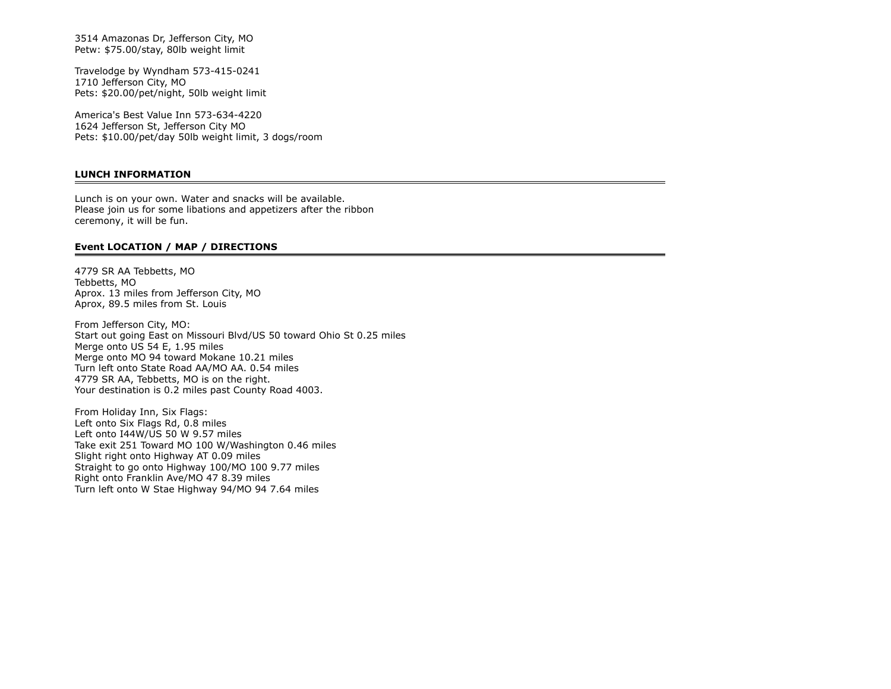3514 Amazonas Dr, Jefferson City, MO Petw: \$75.00/stay, 80lb weight limit

Travelodge by Wyndham 573-415-0241 1710 Jefferson City, MO Pets: \$20.00/pet/night, 50lb weight limit

America's Best Value Inn 573-634-4220 1624 Jefferson St, Jefferson City MO Pets: \$10.00/pet/day 50lb weight limit, 3 dogs/room

# **LUNCH INFORMATION**

Lunch is on your own. Water and snacks will be available. Please join us for some libations and appetizers after the ribbon ceremony, it will be fun.

#### **Event LOCATION / MAP / DIRECTIONS**

4779 SR AA Tebbetts, MO Tebbetts, MO Aprox. 13 miles from Jefferson City, MO Aprox, 89.5 miles from St. Louis

From Jefferson City, MO: Start out going East on Missouri Blvd/US 50 toward Ohio St 0.25 miles Merge onto US 54 E, 1.95 miles Merge onto MO 94 toward Mokane 10.21 miles Turn left onto State Road AA/MO AA. 0.54 miles 4779 SR AA, Tebbetts, MO is on the right. Your destination is 0.2 miles past County Road 4003.

From Holiday Inn, Six Flags: Left onto Six Flags Rd, 0.8 miles Left onto I44W/US 50 W 9.57 miles Take exit 251 Toward MO 100 W/Washington 0.46 miles Slight right onto Highway AT 0.09 miles Straight to go onto Highway 100/MO 100 9.77 miles Right onto Franklin Ave/MO 47 8.39 miles Turn left onto W Stae Highway 94/MO 94 7.64 miles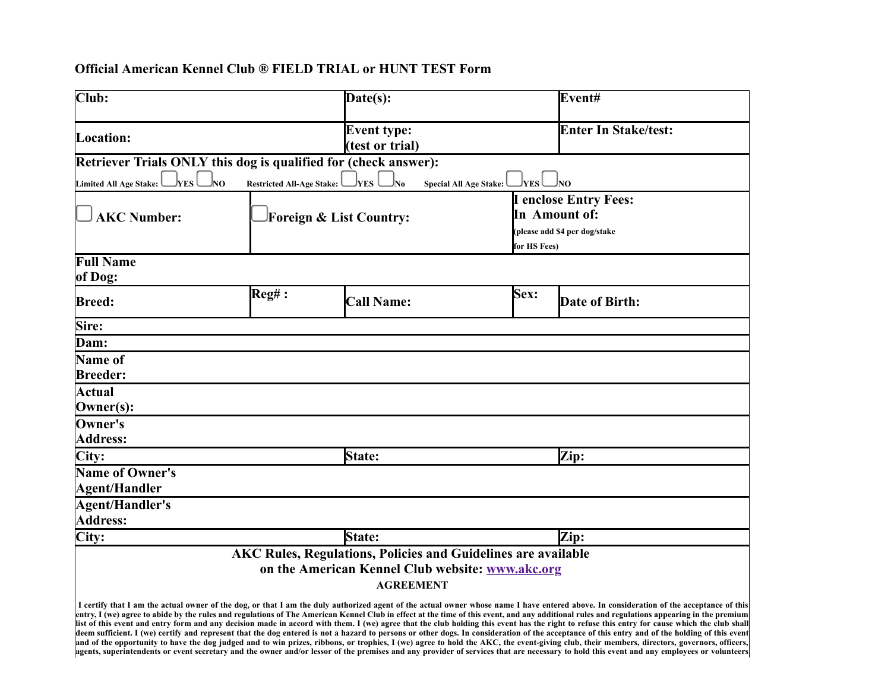# **Official American Kennel Club ® FIELD TRIAL or HUNT TEST Form**

| Club:                                                                                                                                                                                                                                                                                                                                                                                                                                                                                                                                                                                                                                                                                                                                                                                                                                                                                                                                                                                                                                                                                                                                                                                |                         | Date(s):                              |                                                | Event#                       |  |  |  |  |
|--------------------------------------------------------------------------------------------------------------------------------------------------------------------------------------------------------------------------------------------------------------------------------------------------------------------------------------------------------------------------------------------------------------------------------------------------------------------------------------------------------------------------------------------------------------------------------------------------------------------------------------------------------------------------------------------------------------------------------------------------------------------------------------------------------------------------------------------------------------------------------------------------------------------------------------------------------------------------------------------------------------------------------------------------------------------------------------------------------------------------------------------------------------------------------------|-------------------------|---------------------------------------|------------------------------------------------|------------------------------|--|--|--|--|
| Location:                                                                                                                                                                                                                                                                                                                                                                                                                                                                                                                                                                                                                                                                                                                                                                                                                                                                                                                                                                                                                                                                                                                                                                            |                         | <b>Event type:</b><br>(test or trial) |                                                | <b>Enter In Stake/test:</b>  |  |  |  |  |
| Retriever Trials ONLY this dog is qualified for (check answer):                                                                                                                                                                                                                                                                                                                                                                                                                                                                                                                                                                                                                                                                                                                                                                                                                                                                                                                                                                                                                                                                                                                      |                         |                                       |                                                |                              |  |  |  |  |
| NO<br><b>YES</b><br>Jyes<br>lno.<br><b>Limited All Age Stake:</b><br>YES<br><b>Restricted All-Age Stake:</b><br>No<br><b>Special All Age Stake:</b>                                                                                                                                                                                                                                                                                                                                                                                                                                                                                                                                                                                                                                                                                                                                                                                                                                                                                                                                                                                                                                  |                         |                                       |                                                |                              |  |  |  |  |
|                                                                                                                                                                                                                                                                                                                                                                                                                                                                                                                                                                                                                                                                                                                                                                                                                                                                                                                                                                                                                                                                                                                                                                                      |                         |                                       |                                                | <b>I</b> enclose Entry Fees: |  |  |  |  |
| <b>AKC Number:</b>                                                                                                                                                                                                                                                                                                                                                                                                                                                                                                                                                                                                                                                                                                                                                                                                                                                                                                                                                                                                                                                                                                                                                                   | Foreign & List Country: |                                       | In Amount of:<br>(please add \$4 per dog/stake |                              |  |  |  |  |
|                                                                                                                                                                                                                                                                                                                                                                                                                                                                                                                                                                                                                                                                                                                                                                                                                                                                                                                                                                                                                                                                                                                                                                                      |                         |                                       |                                                |                              |  |  |  |  |
|                                                                                                                                                                                                                                                                                                                                                                                                                                                                                                                                                                                                                                                                                                                                                                                                                                                                                                                                                                                                                                                                                                                                                                                      |                         |                                       | for HS Fees)                                   |                              |  |  |  |  |
| <b>Full Name</b><br>of Dog:                                                                                                                                                                                                                                                                                                                                                                                                                                                                                                                                                                                                                                                                                                                                                                                                                                                                                                                                                                                                                                                                                                                                                          |                         |                                       |                                                |                              |  |  |  |  |
| <b>Breed:</b>                                                                                                                                                                                                                                                                                                                                                                                                                                                                                                                                                                                                                                                                                                                                                                                                                                                                                                                                                                                                                                                                                                                                                                        | $\text{Reg#}$ :         | <b>Call Name:</b>                     | <b>Sex:</b>                                    | Date of Birth:               |  |  |  |  |
| Sire:                                                                                                                                                                                                                                                                                                                                                                                                                                                                                                                                                                                                                                                                                                                                                                                                                                                                                                                                                                                                                                                                                                                                                                                |                         |                                       |                                                |                              |  |  |  |  |
| Dam:                                                                                                                                                                                                                                                                                                                                                                                                                                                                                                                                                                                                                                                                                                                                                                                                                                                                                                                                                                                                                                                                                                                                                                                 |                         |                                       |                                                |                              |  |  |  |  |
| Name of                                                                                                                                                                                                                                                                                                                                                                                                                                                                                                                                                                                                                                                                                                                                                                                                                                                                                                                                                                                                                                                                                                                                                                              |                         |                                       |                                                |                              |  |  |  |  |
| <b>Breeder:</b>                                                                                                                                                                                                                                                                                                                                                                                                                                                                                                                                                                                                                                                                                                                                                                                                                                                                                                                                                                                                                                                                                                                                                                      |                         |                                       |                                                |                              |  |  |  |  |
| Actual                                                                                                                                                                                                                                                                                                                                                                                                                                                                                                                                                                                                                                                                                                                                                                                                                                                                                                                                                                                                                                                                                                                                                                               |                         |                                       |                                                |                              |  |  |  |  |
| Owner(s):                                                                                                                                                                                                                                                                                                                                                                                                                                                                                                                                                                                                                                                                                                                                                                                                                                                                                                                                                                                                                                                                                                                                                                            |                         |                                       |                                                |                              |  |  |  |  |
| Owner's                                                                                                                                                                                                                                                                                                                                                                                                                                                                                                                                                                                                                                                                                                                                                                                                                                                                                                                                                                                                                                                                                                                                                                              |                         |                                       |                                                |                              |  |  |  |  |
| Address:                                                                                                                                                                                                                                                                                                                                                                                                                                                                                                                                                                                                                                                                                                                                                                                                                                                                                                                                                                                                                                                                                                                                                                             |                         |                                       |                                                |                              |  |  |  |  |
| City:                                                                                                                                                                                                                                                                                                                                                                                                                                                                                                                                                                                                                                                                                                                                                                                                                                                                                                                                                                                                                                                                                                                                                                                |                         | <b>State:</b>                         |                                                | Zip:                         |  |  |  |  |
| Name of Owner's                                                                                                                                                                                                                                                                                                                                                                                                                                                                                                                                                                                                                                                                                                                                                                                                                                                                                                                                                                                                                                                                                                                                                                      |                         |                                       |                                                |                              |  |  |  |  |
| Agent/Handler                                                                                                                                                                                                                                                                                                                                                                                                                                                                                                                                                                                                                                                                                                                                                                                                                                                                                                                                                                                                                                                                                                                                                                        |                         |                                       |                                                |                              |  |  |  |  |
| Agent/Handler's                                                                                                                                                                                                                                                                                                                                                                                                                                                                                                                                                                                                                                                                                                                                                                                                                                                                                                                                                                                                                                                                                                                                                                      |                         |                                       |                                                |                              |  |  |  |  |
| <b>Address:</b>                                                                                                                                                                                                                                                                                                                                                                                                                                                                                                                                                                                                                                                                                                                                                                                                                                                                                                                                                                                                                                                                                                                                                                      |                         |                                       |                                                |                              |  |  |  |  |
| City:                                                                                                                                                                                                                                                                                                                                                                                                                                                                                                                                                                                                                                                                                                                                                                                                                                                                                                                                                                                                                                                                                                                                                                                |                         | State:                                |                                                | Zip:                         |  |  |  |  |
| <b>AKC Rules, Regulations, Policies and Guidelines are available</b>                                                                                                                                                                                                                                                                                                                                                                                                                                                                                                                                                                                                                                                                                                                                                                                                                                                                                                                                                                                                                                                                                                                 |                         |                                       |                                                |                              |  |  |  |  |
| on the American Kennel Club website: www.akc.org                                                                                                                                                                                                                                                                                                                                                                                                                                                                                                                                                                                                                                                                                                                                                                                                                                                                                                                                                                                                                                                                                                                                     |                         |                                       |                                                |                              |  |  |  |  |
| <b>AGREEMENT</b>                                                                                                                                                                                                                                                                                                                                                                                                                                                                                                                                                                                                                                                                                                                                                                                                                                                                                                                                                                                                                                                                                                                                                                     |                         |                                       |                                                |                              |  |  |  |  |
| I certify that I am the actual owner of the dog, or that I am the duly authorized agent of the actual owner whose name I have entered above. In consideration of the acceptance of this<br>entry, I (we) agree to abide by the rules and regulations of The American Kennel Club in effect at the time of this event, and any additional rules and regulations appearing in the premium<br>list of this event and entry form and any decision made in accord with them. I (we) agree that the club holding this event has the right to refuse this entry for cause which the club shall<br>deem sufficient. I (we) certify and represent that the dog entered is not a hazard to persons or other dogs. In consideration of the acceptance of this entry and of the holding of this event<br>and of the opportunity to have the dog judged and to win prizes, ribbons, or trophies, I (we) agree to hold the AKC, the event-giving club, their members, directors, governors, officers,<br>agents, superintendents or event secretary and the owner and/or lessor of the premises and any provider of services that are necessary to hold this event and any employees or volunteers |                         |                                       |                                                |                              |  |  |  |  |